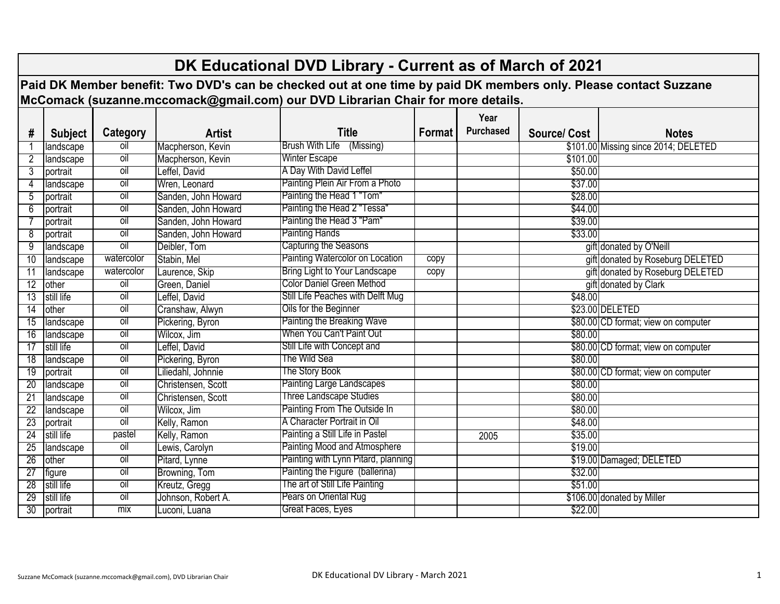|                                                                                                                  | DK Educational DVD Library - Current as of March of 2021 |                |                     |                                          |        |                  |                    |                                      |  |  |
|------------------------------------------------------------------------------------------------------------------|----------------------------------------------------------|----------------|---------------------|------------------------------------------|--------|------------------|--------------------|--------------------------------------|--|--|
| Paid DK Member benefit: Two DVD's can be checked out at one time by paid DK members only. Please contact Suzzane |                                                          |                |                     |                                          |        |                  |                    |                                      |  |  |
| McComack (suzanne.mccomack@gmail.com) our DVD Librarian Chair for more details.                                  |                                                          |                |                     |                                          |        |                  |                    |                                      |  |  |
|                                                                                                                  |                                                          |                |                     |                                          |        |                  |                    |                                      |  |  |
|                                                                                                                  |                                                          |                |                     |                                          |        | Year             |                    |                                      |  |  |
| #                                                                                                                | <b>Subject</b>                                           | Category       | <b>Artist</b>       | <b>Title</b>                             | Format | <b>Purchased</b> | <b>Source/Cost</b> | <b>Notes</b>                         |  |  |
|                                                                                                                  | landscape                                                | oil            | Macpherson, Kevin   | <b>Brush With Life</b><br>(Missing)      |        |                  |                    | \$101.00 Missing since 2014; DELETED |  |  |
|                                                                                                                  | landscape                                                | $\overline{0}$ | Macpherson, Kevin   | <b>Winter Escape</b>                     |        |                  | \$101.00           |                                      |  |  |
| 3                                                                                                                | portrait                                                 | oil            | Leffel, David       | A Day With David Leffel                  |        |                  | \$50.00            |                                      |  |  |
| 4                                                                                                                | landscape                                                | <b>oil</b>     | Wren, Leonard       | Painting Plein Air From a Photo          |        |                  | \$37.00            |                                      |  |  |
| 5                                                                                                                | portrait                                                 | <b>oil</b>     | Sanden, John Howard | Painting the Head 1 "Tom"                |        |                  | \$28.00            |                                      |  |  |
| 6                                                                                                                | portrait                                                 | <b>oil</b>     | Sanden, John Howard | Painting the Head 2 "Tessa'              |        |                  | \$44.00            |                                      |  |  |
|                                                                                                                  | portrait                                                 | <b>oil</b>     | Sanden, John Howard | Painting the Head 3 "Pam"                |        |                  | \$39.00            |                                      |  |  |
| 8                                                                                                                | portrait                                                 | oil            | Sanden, John Howard | Painting Hands                           |        |                  | \$33.00            |                                      |  |  |
| 9                                                                                                                | landscape                                                | oil            | Deibler, Tom        | Capturing the Seasons                    |        |                  |                    | gift donated by O'Neill              |  |  |
| 10                                                                                                               | landscape                                                | watercolor     | Stabin, Mel         | Painting Watercolor on Location          | copy   |                  |                    | gift donated by Roseburg DELETED     |  |  |
| 11                                                                                                               | landscape                                                | watercolor     | Laurence, Skip      | Bring Light to Your Landscape            | copy   |                  |                    | gift donated by Roseburg DELETED     |  |  |
| 12                                                                                                               | other                                                    | oil            | Green, Daniel       | <b>Color Daniel Green Method</b>         |        |                  |                    | gift donated by Clark                |  |  |
| $\overline{13}$                                                                                                  | still life                                               | oil            | Leffel, David       | <b>Still Life Peaches with Delft Mug</b> |        |                  | \$48.00            |                                      |  |  |
| 14                                                                                                               | other                                                    | <b>oil</b>     | Cranshaw, Alwyn     | Oils for the Beginner                    |        |                  |                    | \$23.00 DELETED                      |  |  |
| 15                                                                                                               | landscape                                                | <b>oil</b>     | Pickering, Byron    | Painting the Breaking Wave               |        |                  |                    | \$80.00 CD format; view on computer  |  |  |
| 16                                                                                                               | landscape                                                | oil            | Wilcox, Jim         | When You Can't Paint Out                 |        |                  | \$80.00            |                                      |  |  |
| 17                                                                                                               | still life                                               | <b>oil</b>     | Leffel, David       | Still Life with Concept and              |        |                  |                    | \$80.00 CD format; view on computer  |  |  |
| 18                                                                                                               | landscape                                                | oil            | Pickering, Byron    | The Wild Sea                             |        |                  | \$80.00            |                                      |  |  |
| 19                                                                                                               | portrait                                                 | oil            | Liliedahl, Johnnie  | The Story Book                           |        |                  |                    | \$80.00 CD format; view on computer  |  |  |
| 20                                                                                                               | landscape                                                | <b>TOI</b>     | Christensen, Scott  | Painting Large Landscapes                |        |                  | \$80.00            |                                      |  |  |
| $\overline{21}$                                                                                                  | landscape                                                | oil            | Christensen, Scott  | Three Landscape Studies                  |        |                  | \$80.00            |                                      |  |  |
| $\overline{22}$                                                                                                  | landscape                                                | <b>oil</b>     | Wilcox, Jim         | Painting From The Outside In             |        |                  | \$80.00            |                                      |  |  |
| 23                                                                                                               | portrait                                                 | oil            | Kelly, Ramon        | A Character Portrait in Oil              |        |                  | \$48.00            |                                      |  |  |
| 24                                                                                                               | still life                                               | pastel         | Kelly, Ramon        | Painting a Still Life in Pastel          |        | 2005             | \$35.00            |                                      |  |  |
| 25                                                                                                               | landscape                                                | oil            | Lewis, Carolyn      | <b>Painting Mood and Atmosphere</b>      |        |                  | \$19.00            |                                      |  |  |
| 26                                                                                                               | other                                                    | $\overline{o}$ | Pitard, Lynne       | Painting with Lynn Pitard, planning      |        |                  |                    | \$19.00 Damaged; DELETED             |  |  |
| $\overline{27}$                                                                                                  | figure                                                   | oil            | Browning, Tom       | Painting the Figure (ballerina)          |        |                  | \$32.00            |                                      |  |  |
| 28                                                                                                               | still life                                               | oil            | Kreutz, Gregg       | The art of Still Life Painting           |        |                  | \$51.00            |                                      |  |  |
| 29                                                                                                               | still life                                               | $\overline{0}$ | Johnson, Robert A.  | Pears on Oriental Rug                    |        |                  |                    | \$106.00 donated by Miller           |  |  |
| 30                                                                                                               | portrait                                                 | mix            | Luconi, Luana       | Great Faces, Eyes                        |        |                  | \$22.00            |                                      |  |  |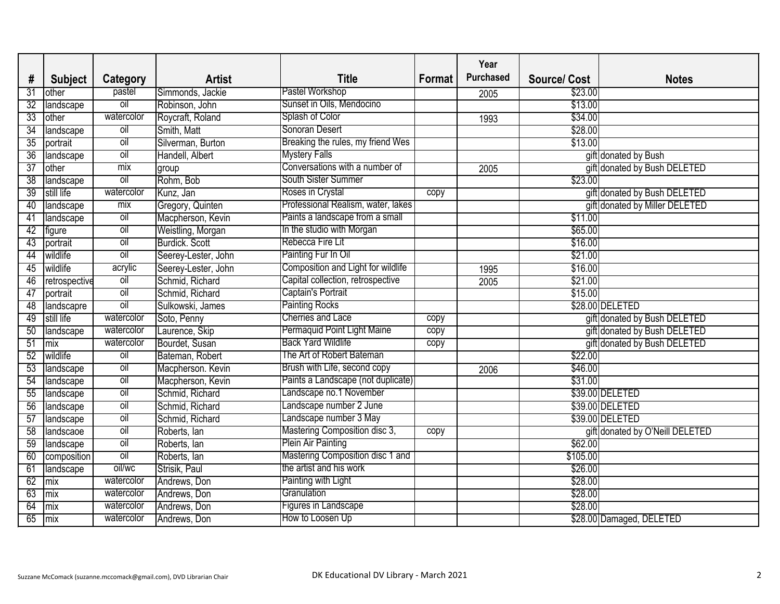|                 |                   |                |                     |                                    |        | Year             |                    |                                 |
|-----------------|-------------------|----------------|---------------------|------------------------------------|--------|------------------|--------------------|---------------------------------|
| #               | <b>Subject</b>    | Category       | <b>Artist</b>       | Title                              | Format | <b>Purchased</b> | <b>Source/Cost</b> | <b>Notes</b>                    |
| 31              | other             | pastel         | Simmonds, Jackie    | Pastel Workshop                    |        | 2005             | \$23.00            |                                 |
| 32              | landscape         | oil            | Robinson, John      | Sunset in Oils, Mendocino          |        |                  | \$13.00            |                                 |
| 33              | other             | watercolor     | Roycraft, Roland    | Splash of Color                    |        | 1993             | \$34.00            |                                 |
| $\overline{34}$ | landscape         | oil            | Smith, Matt         | Sonoran Desert                     |        |                  | \$28.00            |                                 |
| 35              | portrait          | oil            | Silverman, Burton   | Breaking the rules, my friend Wes  |        |                  | \$13.00            |                                 |
| 36              | landscape         | oil            | Handell, Albert     | <b>Mystery Falls</b>               |        |                  |                    | gift donated by Bush            |
| 37              | other             | mix            | group               | Conversations with a number of     |        | 2005             |                    | gift donated by Bush DELETED    |
| $\overline{38}$ | landscape         | $\overline{o}$ | Rohm, Bob           | South Sister Summer                |        |                  | \$23.00            |                                 |
| 39              | still life        | watercolor     | Kunz, Jan           | Roses in Crystal                   | copy   |                  |                    | gift donated by Bush DELETED    |
| 40              | landscape         | mix            | Gregory, Quinten    | Professional Realism, water, lakes |        |                  |                    | gift donated by Miller DELETED  |
| 41              | landscape         | $\overline{o}$ | Macpherson, Kevin   | Paints a landscape from a small    |        |                  | \$11.00            |                                 |
| 42              | figure            | oil            | Weistling, Morgan   | In the studio with Morgan          |        |                  | \$65.00            |                                 |
| 43              | portrait          | $\overline{o}$ | Burdick. Scott      | Rebecca Fire Lit                   |        |                  | \$16.00            |                                 |
| 44              | wildlife          | $\overline{0}$ | Seerey-Lester, John | Painting Fur In Oil                |        |                  | \$21.00            |                                 |
| 45              | wildlife          | acrylic        | Seerey-Lester, John | Composition and Light for wildlife |        | 1995             | \$16.00            |                                 |
| 46              | retrospective     | oil            | Schmid, Richard     | Capital collection, retrospective  |        | 2005             | \$21.00            |                                 |
| 47              | portrait          | $\overline{0}$ | Schmid, Richard     | Captain's Portrait                 |        |                  | \$15.00            |                                 |
| 48              | landscapre        | oil            | Sulkowski, James    | Painting Rocks                     |        |                  |                    | \$28.00 DELETED                 |
| 49              | still life        | watercolor     | Soto, Penny         | <b>Cherries and Lace</b>           | copy   |                  |                    | gift donated by Bush DELETED    |
| 50              | landscape         | watercolor     | Laurence, Skip      | Permaquid Point Light Maine        | copy   |                  |                    | gift donated by Bush DELETED    |
| 51              | mix               | watercolor     | Bourdet, Susan      | <b>Back Yard Wildlife</b>          | copy   |                  |                    | gift donated by Bush DELETED    |
| 52              | wildlife          | $\overline{0}$ | Bateman, Robert     | The Art of Robert Bateman          |        |                  | \$22.00            |                                 |
| 53              | landscape         | $\overline{o}$ | Macpherson. Kevin   | Brush with Life, second copy       |        | 2006             | \$46.00            |                                 |
| 54              | landscape         | $\overline{0}$ | Macpherson, Kevin   | Paints a Landscape (not duplicate) |        |                  | \$31.00            |                                 |
| 55              | landscape         | oil            | Schmid, Richard     | Landscape no.1 November            |        |                  |                    | \$39.00 DELETED                 |
| 56              | landscape         | $\overline{0}$ | Schmid, Richard     | Landscape number 2 June            |        |                  |                    | \$39.00 DELETED                 |
| 57              | landscape         | $\overline{0}$ | Schmid, Richard     | Landscape number 3 May             |        |                  |                    | \$39.00 DELETED                 |
| 58              | landscaoe         | oil            | Roberts, lan        | Mastering Composition disc 3,      | copy   |                  |                    | gift donated by O'Neill DELETED |
| 59              | <b>Ilandscape</b> | OII            | Roberts, lan        | Plein Air Painting                 |        |                  | \$62.00            |                                 |
|                 | 60 composition    | oil            | Roberts, lan        | Mastering Composition disc 1 and   |        |                  | \$105.00           |                                 |
|                 | 61   landscape    | oil/wc         | Strisik, Paul       | the artist and his work            |        |                  | \$26.00            |                                 |
|                 | $62$ mix          | watercolor     | Andrews, Don        | Painting with Light                |        |                  | \$28.00            |                                 |
|                 | $63$ mix          | watercolor     | Andrews, Don        | Granulation                        |        |                  | \$28.00            |                                 |
|                 | $64$ mix          | watercolor     | Andrews, Don        | Figures in Landscape               |        |                  | \$28.00            |                                 |
|                 | $65$ mix          | watercolor     | Andrews, Don        | How to Loosen Up                   |        |                  |                    | \$28.00 Damaged, DELETED        |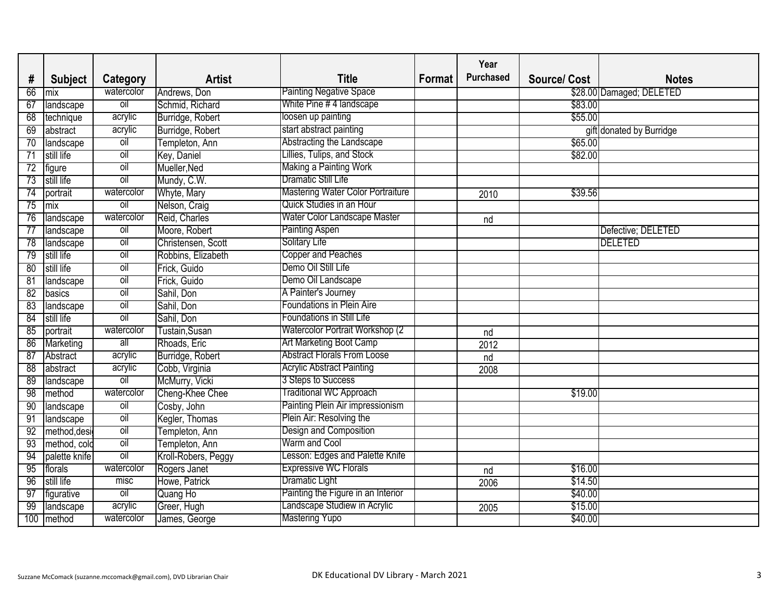|     |                  |                |                     |                                          |        | Year             |                    |                          |
|-----|------------------|----------------|---------------------|------------------------------------------|--------|------------------|--------------------|--------------------------|
| #   | <b>Subject</b>   | Category       | <b>Artist</b>       | Title                                    | Format | <b>Purchased</b> | <b>Source/Cost</b> | <b>Notes</b>             |
| 66  | mix              | watercolor     | Andrews, Don        | <b>Painting Negative Space</b>           |        |                  |                    | \$28.00 Damaged; DELETED |
| 67  | landscape        | $\overline{O}$ | Schmid, Richard     | White Pine # 4 landscape                 |        |                  | \$83.00            |                          |
| 68  | technique        | acrylic        | Burridge, Robert    | loosen up painting                       |        |                  | \$55.00            |                          |
| 69  | abstract         | acrylic        | Burridge, Robert    | start abstract painting                  |        |                  |                    | gift donated by Burridge |
| 70  | landscape        | <b>Oil</b>     | Templeton, Ann      | Abstracting the Landscape                |        |                  | \$65.00            |                          |
| 71  | still life       | <b>oil</b>     | Key, Daniel         | Lillies, Tulips, and Stock               |        |                  | \$82.00            |                          |
| 72  | figure           | <b>Oil</b>     | Mueller, Ned        | <b>Making a Painting Work</b>            |        |                  |                    |                          |
| 73  | still life       | <b>oil</b>     | Mundy, C.W.         | Dramatic Still Life                      |        |                  |                    |                          |
| 74  | portrait         | watercolor     | Whyte, Mary         | <b>Mastering Water Color Portraiture</b> |        | 2010             | \$39.56            |                          |
| 75  | mix              | oil            | Nelson, Craig       | Quick Studies in an Hour                 |        |                  |                    |                          |
| 76  | landscape        | watercolor     | Reid, Charles       | Water Color Landscape Master             |        | nd               |                    |                          |
| 77  | landscape        | <b>oil</b>     | Moore, Robert       | <b>Painting Aspen</b>                    |        |                  |                    | Defective; DELETED       |
| 78  | landscape        | <b>Oil</b>     | Christensen, Scott  | <b>Solitary Life</b>                     |        |                  |                    | <b>DELETED</b>           |
| 79  | still life       | <b>Oil</b>     | Robbins, Elizabeth  | <b>Copper and Peaches</b>                |        |                  |                    |                          |
| 80  | still life       | <b>Oil</b>     | Frick, Guido        | Demo Oil Still Life                      |        |                  |                    |                          |
| 81  | landscape        | oil            | Frick, Guido        | Demo Oil Landscape                       |        |                  |                    |                          |
| 82  | basics           | <b>Oil</b>     | Sahil, Don          | A Painter's Journey                      |        |                  |                    |                          |
| 83  | landscape        | oil            | Sahil, Don          | <b>Foundations in Plein Aire</b>         |        |                  |                    |                          |
| 84  | still life       | $\overline{O}$ | Sahil, Don          | Foundations in Still Life                |        |                  |                    |                          |
| 85  | portrait         | watercolor     | Tustain, Susan      | Watercolor Portrait Workshop (2)         |        | nd               |                    |                          |
| 86  | <b>Marketing</b> | all            | Rhoads, Eric        | <b>Art Marketing Boot Camp</b>           |        | 2012             |                    |                          |
| 87  | Abstract         | acrylic        | Burridge, Robert    | <b>Abstract Florals From Loose</b>       |        | nd               |                    |                          |
| 88  | abstract         | acrylic        | Cobb, Virginia      | <b>Acrylic Abstract Painting</b>         |        | 2008             |                    |                          |
| 89  | landscape        | $\overline{0}$ | McMurry, Vicki      | 3 Steps to Success                       |        |                  |                    |                          |
| 98  | method           | watercolor     | Cheng-Khee Chee     | Traditional WC Approach                  |        |                  | \$19.00            |                          |
| 90  | landscape        | <b>oil</b>     | Cosby, John         | Painting Plein Air impressionism         |        |                  |                    |                          |
| 91  | landscape        | oil            | Kegler, Thomas      | Plein Air: Resolving the                 |        |                  |                    |                          |
| 92  | method, desi     | oil            | Templeton, Ann      | Design and Composition                   |        |                  |                    |                          |
|     | method, cold     | OII            | Templeton, Ann      | Warm and Cool                            |        |                  |                    |                          |
| 94  | palette knife    | oil            | Kroll-Robers, Peggy | esson: Edges and Palette Knife           |        |                  |                    |                          |
| 95  | florals          | watercolor     | Rogers Janet        | <b>Expressive WC Florals</b>             |        | nd               | \$16.00            |                          |
| 96  | still life       | misc           | Howe, Patrick       | Dramatic Light                           |        | 2006             | \$14.50            |                          |
| 97  | figurative       | $\overline{0}$ | Quang Ho            | Painting the Figure in an Interior       |        |                  | \$40.00            |                          |
| 99  | landscape        | acrylic        | Greer, Hugh         | Landscape Studiew in Acrylic             |        | 2005             | \$15.00            |                          |
| 100 | method           | watercolor     | James, George       | <b>Mastering Yupo</b>                    |        |                  | \$40.00            |                          |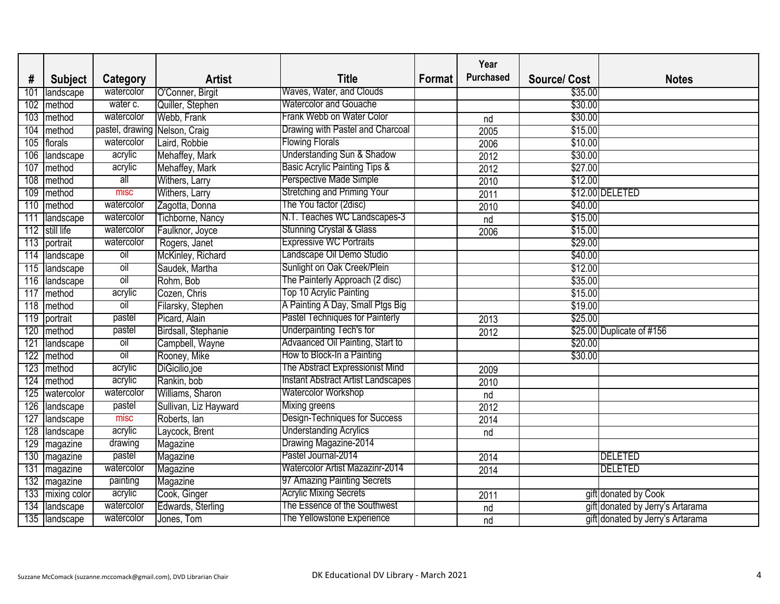|     |                    |                               |                       |                                           |        | Year             |                    |                                  |
|-----|--------------------|-------------------------------|-----------------------|-------------------------------------------|--------|------------------|--------------------|----------------------------------|
| #   | <b>Subject</b>     | <b>Category</b>               | <b>Artist</b>         | Title                                     | Format | <b>Purchased</b> | <b>Source/Cost</b> | <b>Notes</b>                     |
| 101 | landscape          | watercolor                    | O'Conner, Birgit      | Waves, Water, and Clouds                  |        |                  | \$35.00            |                                  |
| 102 | method             | water c.                      | Quiller, Stephen      | <b>Watercolor and Gouache</b>             |        |                  | \$30.00            |                                  |
| 103 | method             | watercolor                    | Webb, Frank           | Frank Webb on Water Color                 |        | nd               | \$30.00            |                                  |
| 104 | method             | pastel, drawing Nelson, Craig |                       | Drawing with Pastel and Charcoal          |        | 2005             | \$15.00            |                                  |
| 105 | florals            | watercolor                    | Laird, Robbie         | Flowing Florals                           |        | 2006             | \$10.00            |                                  |
| 106 | landscape          | acrylic                       | Mehaffey, Mark        | Understanding Sun & Shadow                |        | 2012             | \$30.00            |                                  |
| 107 | method             | acrylic                       | Mehaffey, Mark        | <b>Basic Acrylic Painting Tips &amp;</b>  |        | 2012             | \$27.00            |                                  |
| 108 | method             | $\overline{\mathsf{all}}$     | Withers, Larry        | Perspective Made Simple                   |        | 2010             | \$12.00            |                                  |
| 109 | method             | misc                          | <b>Withers, Larry</b> | Stretching and Priming Your               |        | 2011             |                    | \$12.00 DELETED                  |
| 110 | method             | watercolor                    | Zagotta, Donna        | The You factor (2disc)                    |        | 2010             | \$40.00            |                                  |
| 111 | landscape          | watercolor                    | Tichborne, Nancy      | N.T. Teaches WC Landscapes-3              |        | nd               | \$15.00            |                                  |
| 112 | still life         | watercolor                    | Faulknor, Joyce       | Stunning Crystal & Glass                  |        | 2006             | \$15.00            |                                  |
| 113 | portrait           | watercolor                    | Rogers, Janet         | <b>Expressive WC Portraits</b>            |        |                  | \$29.00            |                                  |
| 114 | landscape          | oil                           | McKinley, Richard     | andscape Oil Demo Studio                  |        |                  | \$40.00            |                                  |
| 115 | landscape          | $\overline{0}$                | Saudek, Martha        | Sunlight on Oak Creek/Plein               |        |                  | \$12.00            |                                  |
| 116 | landscape          | $\overline{o}$                | Rohm, Bob             | The Painterly Approach (2 disc)           |        |                  | \$35.00            |                                  |
| 117 | method             | acrylic                       | Cozen, Chris          | Top 10 Acrylic Painting                   |        |                  | \$15.00            |                                  |
| 118 | method             | oil                           | Filarsky, Stephen     | A Painting A Day, Small Ptgs Big          |        |                  | \$19.00            |                                  |
| 119 | portrait           | pastel                        | Picard, Alain         | Pastel Techniques for Painterly           |        | 2013             | \$25.00            |                                  |
| 120 | method             | pastel                        | Birdsall, Stephanie   | <b>Underpainting Tech's for</b>           |        | 2012             |                    | \$25.00 Duplicate of #156        |
| 121 | landscape          | $\overline{0}$                | Campbell, Wayne       | Advaanced Oil Painting, Start to          |        |                  | \$20.00            |                                  |
| 122 | method             | oil                           | Rooney, Mike          | How to Block-In a Painting                |        |                  | \$30.00            |                                  |
| 123 | method             | acrylic                       | DiGicilio, joe        | The Abstract Expressionist Mind           |        | 2009             |                    |                                  |
| 124 | method             | acrylic                       | Rankin, bob           | <b>Instant Abstract Artist Landscapes</b> |        | 2010             |                    |                                  |
| 125 | watercolor         | watercolor                    | Williams, Sharon      | Watercolor Workshop                       |        | nd               |                    |                                  |
| 126 | landscape          | pastel                        | Sullivan, Liz Hayward | Mixing greens                             |        | 2012             |                    |                                  |
| 127 | landscape          | misc                          | Roberts, lan          | Design-Techniques for Success             |        | 2014             |                    |                                  |
| 128 | landscape          | acrylic                       | Laycock, Brent        | <b>Understanding Acrylics</b>             |        | nd               |                    |                                  |
|     | 129 magazine       | arawing                       | Magazine              | Drawing Magazine-2014                     |        |                  |                    |                                  |
|     | 130 magazine       | pastel                        | Magazine              | Pastel Journal-2014                       |        | 2014             |                    | <b>DELETED</b>                   |
|     | 131 magazine       | watercolor                    | Magazine              | <b>Watercolor Artist Mazazinr-2014</b>    |        | 2014             |                    | <b>DELETED</b>                   |
|     | 132 magazine       | painting                      | Magazine              | 97 Amazing Painting Secrets               |        |                  |                    |                                  |
|     | 133   mixing color | acrylic                       | Cook, Ginger          | <b>Acrylic Mixing Secrets</b>             |        | 2011             |                    | gift donated by Cook             |
| 134 | landscape          | watercolor                    | Edwards, Sterling     | The Essence of the Southwest              |        | nd               |                    | gift donated by Jerry's Artarama |
|     | 135   landscape    | watercolor                    | Jones, Tom            | The Yellowstone Experience                |        | nd               |                    | gift donated by Jerry's Artarama |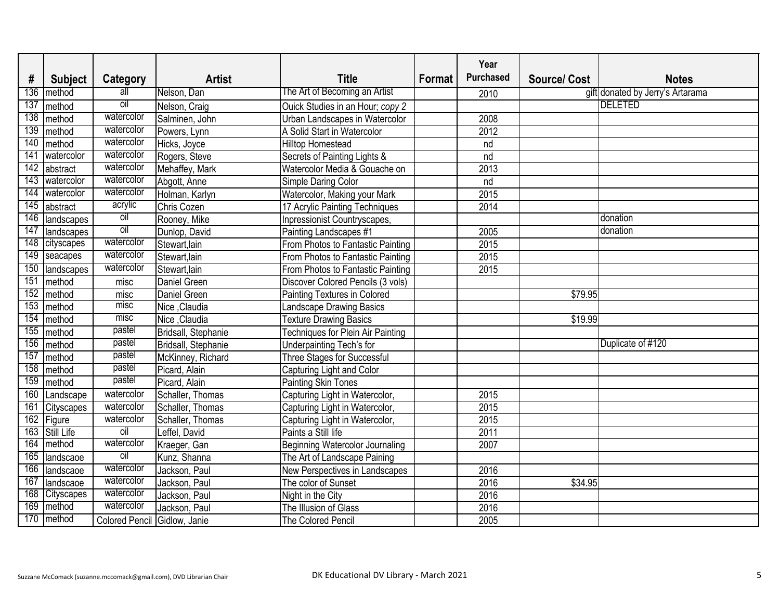|     |                   |                              |                     |                                     |        | Year             |                    |                                  |
|-----|-------------------|------------------------------|---------------------|-------------------------------------|--------|------------------|--------------------|----------------------------------|
| #   | <b>Subject</b>    | <b>Category</b>              | <b>Artist</b>       | Title                               | Format | <b>Purchased</b> | <b>Source/Cost</b> | <b>Notes</b>                     |
| 136 | method            | $\overline{all}$             | Nelson, Dan         | The Art of Becoming an Artist       |        | 2010             |                    | gift donated by Jerry's Artarama |
| 137 | method            | oil                          | Nelson, Craig       | Ouick Studies in an Hour; copy 2    |        |                  |                    | <b>DELETED</b>                   |
| 138 | method            | watercolor                   | Salminen, John      | Urban Landscapes in Watercolor      |        | 2008             |                    |                                  |
| 139 | method            | watercolor                   | Powers, Lynn        | A Solid Start in Watercolor         |        | 2012             |                    |                                  |
| 140 | method            | watercolor                   | Hicks, Joyce        | <b>Hilltop Homestead</b>            |        | nd               |                    |                                  |
| 141 | watercolor        | watercolor                   | Rogers, Steve       | Secrets of Painting Lights &        |        | nd               |                    |                                  |
| 142 | abstract          | watercolor                   | Mehaffey, Mark      | Watercolor Media & Gouache on       |        | 2013             |                    |                                  |
| 143 | watercolor        | watercolor                   | Abgott, Anne        | Simple Daring Color                 |        | nd               |                    |                                  |
| 144 | watercolor        | watercolor                   | Holman, Karlyn      | Watercolor, Making your Mark        |        | 2015             |                    |                                  |
| 145 | abstract          | acrylic                      | Chris Cozen         | 17 Acrylic Painting Techniques      |        | 2014             |                    |                                  |
| 146 | landscapes        | oil                          | Rooney, Mike        | Inpressionist Countryscapes,        |        |                  |                    | donation                         |
| 147 | landscapes        | $\overline{0}$               | Dunlop, David       | Painting Landscapes #1              |        | 2005             |                    | donation                         |
| 148 | cityscapes        | watercolor                   | Stewart, lain       | From Photos to Fantastic Painting   |        | 2015             |                    |                                  |
| 149 | seacapes          | watercolor                   | Stewart, lain       | From Photos to Fantastic Painting   |        | 2015             |                    |                                  |
| 150 | landscapes        | watercolor                   | Stewart, lain       | From Photos to Fantastic Painting   |        | 2015             |                    |                                  |
| 151 | method            | misc                         | Daniel Green        | Discover Colored Pencils (3 vols)   |        |                  |                    |                                  |
| 152 | method            | misc                         | <b>Daniel Green</b> | <b>Painting Textures in Colored</b> |        |                  | \$79.95            |                                  |
| 153 | method            | misc                         | Nice, Claudia       | Landscape Drawing Basics            |        |                  |                    |                                  |
| 154 | method            | misc                         | Nice Claudia        | <b>Texture Drawing Basics</b>       |        |                  | \$19.99            |                                  |
| 155 | method            | pastel                       | Bridsall, Stephanie | Techniques for Plein Air Painting   |        |                  |                    |                                  |
| 156 | method            | pastel                       | Bridsall, Stephanie | Underpainting Tech's for            |        |                  |                    | Duplicate of #120                |
| 157 | method            | pastel                       | McKinney, Richard   | Three Stages for Successful         |        |                  |                    |                                  |
| 158 | method            | pastel                       | Picard, Alain       | Capturing Light and Color           |        |                  |                    |                                  |
| 159 | method            | pastel                       | Picard, Alain       | <b>Painting Skin Tones</b>          |        |                  |                    |                                  |
| 160 | Landscape         | watercolor                   | Schaller, Thomas    | Capturing Light in Watercolor,      |        | 2015             |                    |                                  |
| 161 | <b>Cityscapes</b> | watercolor                   | Schaller, Thomas    | Capturing Light in Watercolor,      |        | 2015             |                    |                                  |
| 162 | Figure            | watercolor                   | Schaller, Thomas    | Capturing Light in Watercolor,      |        | 2015             |                    |                                  |
| 163 | Still Life        | oil                          | Leffel, David       | Paints a Still life                 |        | 2011             |                    |                                  |
|     | 164 method        | watercolor                   | Kraeger, Gan        | Beginning Watercolor Journaling     |        | 2007             |                    |                                  |
| 165 | landscaoe         | oil                          | Kunz, Shanna        | The Art of Landscape Paining        |        |                  |                    |                                  |
| 166 | landscaoe         | watercolor                   | Jackson, Paul       | New Perspectives in Landscapes      |        | 2016             |                    |                                  |
| 167 | landscaoe         | watercolor                   | Jackson, Paul       | The color of Sunset                 |        | 2016             | \$34.95            |                                  |
| 168 | <b>Cityscapes</b> | watercolor                   | Jackson, Paul       | Night in the City                   |        | 2016             |                    |                                  |
| 169 | method            | watercolor                   | Jackson, Paul       | The Illusion of Glass               |        | 2016             |                    |                                  |
| 170 | method            | Colored Pencil Gidlow, Janie |                     | <b>The Colored Pencil</b>           |        | 2005             |                    |                                  |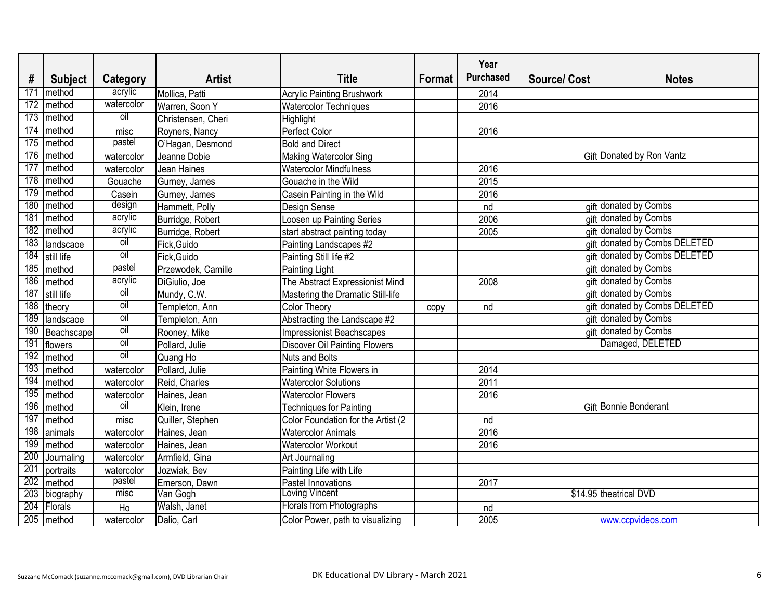|     |                |                |                    |                                      |        | Year             |                    |                               |
|-----|----------------|----------------|--------------------|--------------------------------------|--------|------------------|--------------------|-------------------------------|
| #   | <b>Subject</b> | Category       | <b>Artist</b>      | <b>Title</b>                         | Format | <b>Purchased</b> | <b>Source/Cost</b> | <b>Notes</b>                  |
| 171 | method         | acrylic        | Mollica, Patti     | <b>Acrylic Painting Brushwork</b>    |        | 2014             |                    |                               |
| 172 | method         | watercolor     | Warren, Soon Y     | <b>Watercolor Techniques</b>         |        | 2016             |                    |                               |
| 173 | method         | oil            | Christensen, Cheri | Highlight                            |        |                  |                    |                               |
| 174 | method         | misc           | Royners, Nancy     | Perfect Color                        |        | 2016             |                    |                               |
| 175 | method         | pastel         | O'Hagan, Desmond   | <b>Bold and Direct</b>               |        |                  |                    |                               |
| 176 | method         | watercolor     | Jeanne Dobie       | Making Watercolor Sing               |        |                  |                    | Gift Donated by Ron Vantz     |
| 177 | method         | watercolor     | Jean Haines        | <b>Watercolor Mindfulness</b>        |        | 2016             |                    |                               |
| 178 | method         | Gouache        | Gurney, James      | Gouache in the Wild                  |        | 2015             |                    |                               |
| 179 | method         | Casein         | Gurney, James      | Casein Painting in the Wild          |        | 2016             |                    |                               |
| 180 | method         | design         | Hammett, Polly     | Design Sense                         |        | nd               |                    | gift donated by Combs         |
| 181 | method         | acrylic        | Burridge, Robert   | Loosen up Painting Series            |        | 2006             |                    | gift donated by Combs         |
| 182 | method         | acrylic        | Burridge, Robert   | start abstract painting today        |        | 2005             |                    | gift donated by Combs         |
| 183 | landscaoe      | <b>Oil</b>     | Fick, Guido        | Painting Landscapes #2               |        |                  |                    | gift donated by Combs DELETED |
| 184 | still life     | $\overline{o}$ | Fick, Guido        | Painting Still life #2               |        |                  |                    | gift donated by Combs DELETED |
| 185 | method         | pastel         | Przewodek, Camille | Painting Light                       |        |                  |                    | gift donated by Combs         |
| 186 | method         | acrylic        | DiGiulio, Joe      | The Abstract Expressionist Mind      |        | 2008             |                    | gift donated by Combs         |
| 187 | still life     | oil            | Mundy, C.W.        | Mastering the Dramatic Still-life    |        |                  |                    | gift donated by Combs         |
| 188 | theory         | oil            | Templeton, Ann     | <b>Color Theory</b>                  | copy   | nd               |                    | gift donated by Combs DELETED |
| 189 | landscaoe      | <b>Oil</b>     | Templeton, Ann     | Abstracting the Landscape #2         |        |                  |                    | gift donated by Combs         |
| 190 | Beachscape     | $\overline{o}$ | Rooney, Mike       | <b>Impressionist Beachscapes</b>     |        |                  |                    | gift donated by Combs         |
| 191 | flowers        | $\overline{0}$ | Pollard, Julie     | <b>Discover Oil Painting Flowers</b> |        |                  |                    | Damaged, DELETED              |
| 192 | method         | $\overline{0}$ | Quang Ho           | <b>Nuts and Bolts</b>                |        |                  |                    |                               |
| 193 | method         | watercolor     | Pollard, Julie     | Painting White Flowers in            |        | 2014             |                    |                               |
| 194 | method         | watercolor     | Reid, Charles      | <b>Watercolor Solutions</b>          |        | 2011             |                    |                               |
| 195 | method         | watercolor     | Haines, Jean       | <b>Watercolor Flowers</b>            |        | 2016             |                    |                               |
| 196 | method         | oil            | Klein, Irene       | Techniques for Painting              |        |                  |                    | Gift Bonnie Bonderant         |
| 197 | method         | misc           | Quiller, Stephen   | Color Foundation for the Artist (2   |        | nd               |                    |                               |
| 198 | animals        | watercolor     | Haines, Jean       | <b>Watercolor Animals</b>            |        | 2016             |                    |                               |
|     | 199 method     | watercolor     | Haines, Jean       | <b>Watercolor Workout</b>            |        | 2016             |                    |                               |
| 200 | Journaling     | watercolor     | Armfield, Gina     | Art Journaling                       |        |                  |                    |                               |
| 201 | portraits      | watercolor     | Jozwiak, Bev       | Painting Life with Life              |        |                  |                    |                               |
|     | $202$ method   | pastel         | Emerson, Dawn      | Pastel Innovations                   |        | 2017             |                    |                               |
|     | 203 biography  | misc           | Van Gogh           | Loving Vincent                       |        |                  |                    | \$14.95 theatrical DVD        |
|     | 204 Florals    | Ho             | Walsh, Janet       | Florals from Photographs             |        | nd               |                    |                               |
|     | $205$ method   | watercolor     | Dalio, Carl        | Color Power, path to visualizing     |        | 2005             |                    | www.ccpvideos.com             |